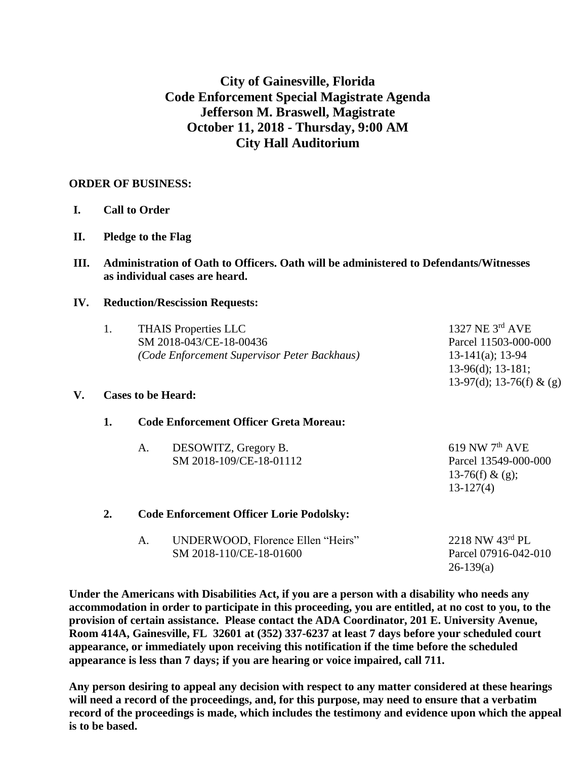## **City of Gainesville, Florida Code Enforcement Special Magistrate Agenda Jefferson M. Braswell, Magistrate October 11, 2018 - Thursday, 9:00 AM City Hall Auditorium**

## **ORDER OF BUSINESS:**

- **I. Call to Order**
- **II. Pledge to the Flag**
- **III. Administration of Oath to Officers. Oath will be administered to Defendants/Witnesses as individual cases are heard.**

## **IV. Reduction/Rescission Requests:**

| V. | 1.<br><b>THAIS Properties LLC</b><br>SM 2018-043/CE-18-00436<br>(Code Enforcement Supervisor Peter Backhaus)<br><b>Cases to be Heard:</b> |                                               |                                                              | 1327 NE $3^{\text{rd}}$ AVE<br>Parcel 11503-000-000<br>$13-141(a); 13-94$<br>$13-96(d)$ ; 13-181;<br>13-97(d); 13-76(f) & (g) |  |
|----|-------------------------------------------------------------------------------------------------------------------------------------------|-----------------------------------------------|--------------------------------------------------------------|-------------------------------------------------------------------------------------------------------------------------------|--|
|    | 1.                                                                                                                                        | <b>Code Enforcement Officer Greta Moreau:</b> |                                                              |                                                                                                                               |  |
|    |                                                                                                                                           | A.                                            | DESOWITZ, Gregory B.<br>SM 2018-109/CE-18-01112              | $619$ NW $7th$ AVE<br>Parcel 13549-000-000<br>13-76(f) & (g);<br>$13-127(4)$                                                  |  |
|    | 2.                                                                                                                                        |                                               | <b>Code Enforcement Officer Lorie Podolsky:</b>              |                                                                                                                               |  |
|    |                                                                                                                                           | A.                                            | UNDERWOOD, Florence Ellen "Heirs"<br>SM 2018-110/CE-18-01600 | 2218 NW 43rd PL<br>Parcel 07916-042-010<br>$26-139(a)$                                                                        |  |

**Under the Americans with Disabilities Act, if you are a person with a disability who needs any accommodation in order to participate in this proceeding, you are entitled, at no cost to you, to the provision of certain assistance. Please contact the ADA Coordinator, 201 E. University Avenue, Room 414A, Gainesville, FL 32601 at (352) 337-6237 at least 7 days before your scheduled court appearance, or immediately upon receiving this notification if the time before the scheduled appearance is less than 7 days; if you are hearing or voice impaired, call 711.**

**Any person desiring to appeal any decision with respect to any matter considered at these hearings will need a record of the proceedings, and, for this purpose, may need to ensure that a verbatim record of the proceedings is made, which includes the testimony and evidence upon which the appeal is to be based.**